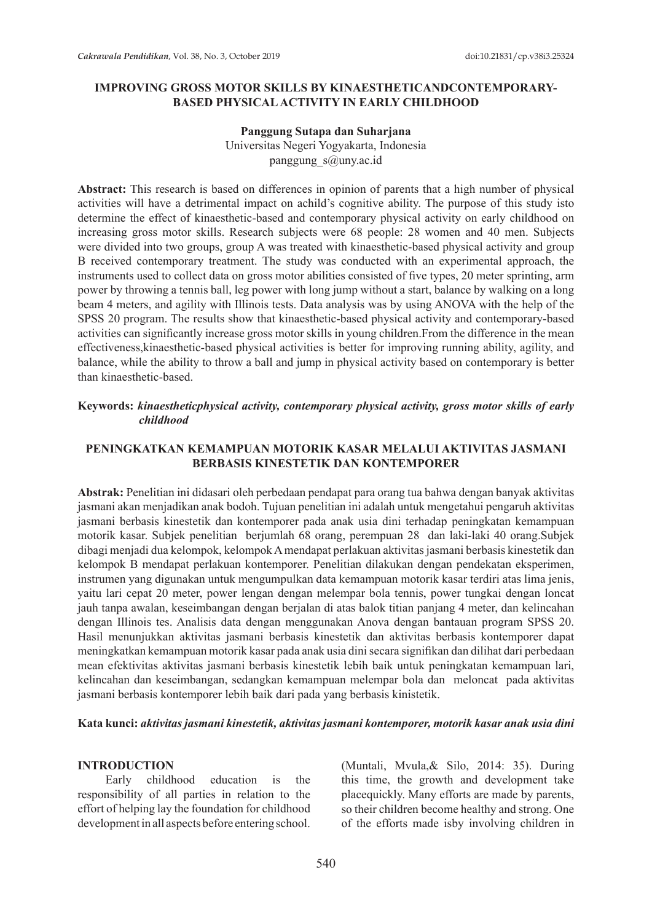### **IMPROVING GROSS MOTOR SKILLS BY KINAESTHETICANDCONTEMPORARY-BASED PHYSICAL ACTIVITY IN EARLY CHILDHOOD**

# **Panggung Sutapa dan Suharjana**

Universitas Negeri Yogyakarta, Indonesia panggung\_s@uny.ac.id

**Abstract:** This research is based on differences in opinion of parents that a high number of physical activities will have a detrimental impact on achild's cognitive ability. The purpose of this study isto determine the effect of kinaesthetic-based and contemporary physical activity on early childhood on increasing gross motor skills. Research subjects were 68 people: 28 women and 40 men. Subjects were divided into two groups, group A was treated with kinaesthetic-based physical activity and group B received contemporary treatment. The study was conducted with an experimental approach, the instruments used to collect data on gross motor abilities consisted of five types, 20 meter sprinting, arm power by throwing a tennis ball, leg power with long jump without a start, balance by walking on a long beam 4 meters, and agility with Illinois tests. Data analysis was by using ANOVA with the help of the SPSS 20 program. The results show that kinaesthetic-based physical activity and contemporary-based activities can significantly increase gross motor skills in young children.From the difference in the mean effectiveness,kinaesthetic-based physical activities is better for improving running ability, agility, and balance, while the ability to throw a ball and jump in physical activity based on contemporary is better than kinaesthetic-based.

### **Keywords:** *kinaestheticphysical activity, contemporary physical activity, gross motor skills of early childhood*

### **PENINGKATKAN KEMAMPUAN MOTORIK KASAR MELALUI AKTIVITAS JASMANI BERBASIS KINESTETIK DAN KONTEMPORER**

**Abstrak:** Penelitian ini didasari oleh perbedaan pendapat para orang tua bahwa dengan banyak aktivitas jasmani akan menjadikan anak bodoh. Tujuan penelitian ini adalah untuk mengetahui pengaruh aktivitas jasmani berbasis kinestetik dan kontemporer pada anak usia dini terhadap peningkatan kemampuan motorik kasar. Subjek penelitian berjumlah 68 orang, perempuan 28 dan laki-laki 40 orang.Subjek dibagi menjadi dua kelompok, kelompok A mendapat perlakuan aktivitas jasmani berbasis kinestetik dan kelompok B mendapat perlakuan kontemporer. Penelitian dilakukan dengan pendekatan eksperimen, instrumen yang digunakan untuk mengumpulkan data kemampuan motorik kasar terdiri atas lima jenis, yaitu lari cepat 20 meter, power lengan dengan melempar bola tennis, power tungkai dengan loncat jauh tanpa awalan, keseimbangan dengan berjalan di atas balok titian panjang 4 meter, dan kelincahan dengan Illinois tes. Analisis data dengan menggunakan Anova dengan bantauan program SPSS 20. Hasil menunjukkan aktivitas jasmani berbasis kinestetik dan aktivitas berbasis kontemporer dapat meningkatkan kemampuan motorik kasar pada anak usia dini secara signifikan dan dilihat dari perbedaan mean efektivitas aktivitas jasmani berbasis kinestetik lebih baik untuk peningkatan kemampuan lari, kelincahan dan keseimbangan, sedangkan kemampuan melempar bola dan meloncat pada aktivitas jasmani berbasis kontemporer lebih baik dari pada yang berbasis kinistetik.

#### **Kata kunci:** *aktivitas jasmani kinestetik, aktivitas jasmani kontemporer, motorik kasar anak usia dini*

#### **INTRODUCTION**

Early childhood education is the responsibility of all parties in relation to the effort of helping lay the foundation for childhood development in all aspects before entering school. (Muntali, Mvula,& Silo, 2014: 35). During this time, the growth and development take placequickly. Many efforts are made by parents, so their children become healthy and strong. One of the efforts made isby involving children in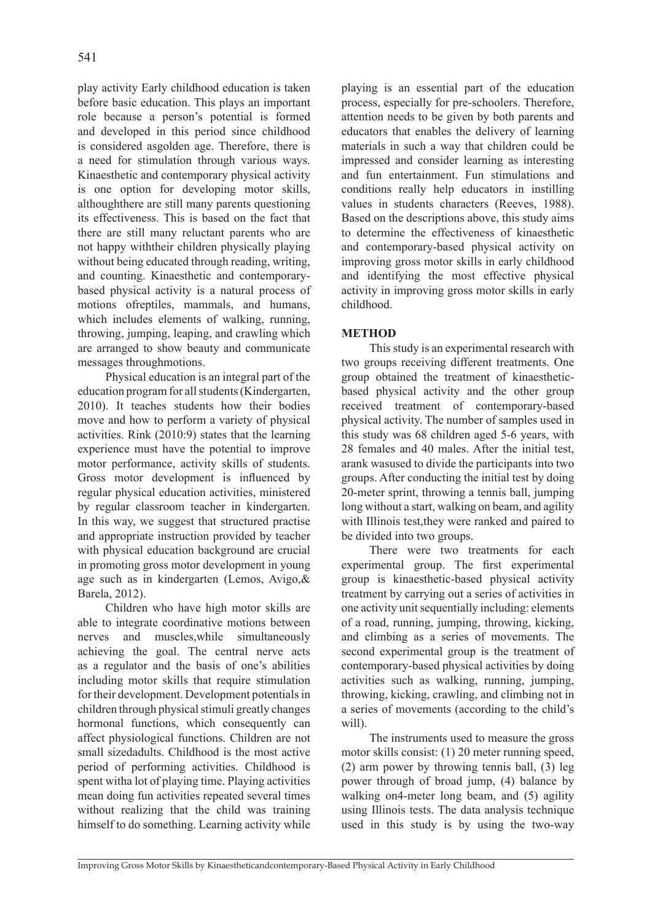play activity Early childhood education is taken before basic education. This plays an important role because a person's potential is formed and developed in this period since childhood is considered asgolden age. Therefore, there is a need for stimulation through various ways. Kinaesthetic and contemporary physical activity is one option for developing motor skills, althoughthere are still many parents questioning its effectiveness. This is based on the fact that there are still many reluctant parents who are not happy withtheir children physically playing without being educated through reading, writing, and counting. Kinaesthetic and contemporarybased physical activity is a natural process of motions ofreptiles, mammals, and humans, which includes elements of walking, running, throwing, jumping, leaping, and crawling which are arranged to show beauty and communicate messages throughmotions.

Physical education is an integral part of the education program for all students (Kindergarten, 2010). It teaches students how their bodies move and how to perform a variety of physical activities. Rink (2010:9) states that the learning experience must have the potential to improve motor performance, activity skills of students. Gross motor development is influenced by regular physical education activities, ministered by regular classroom teacher in kindergarten. In this way, we suggest that structured practise and appropriate instruction provided by teacher with physical education background are crucial in promoting gross motor development in young age such as in kindergarten (Lemos, Avigo,& Barela, 2012).

Children who have high motor skills are able to integrate coordinative motions between nerves and muscles,while simultaneously achieving the goal. The central nerve acts as a regulator and the basis of one's abilities including motor skills that require stimulation for their development. Development potentials in children through physical stimuli greatly changes hormonal functions, which consequently can affect physiological functions. Children are not small sizedadults. Childhood is the most active period of performing activities. Childhood is spent witha lot of playing time. Playing activities mean doing fun activities repeated several times without realizing that the child was training himself to do something. Learning activity while playing is an essential part of the education process, especially for pre-schoolers. Therefore, attention needs to be given by both parents and educators that enables the delivery of learning materials in such a way that children could be impressed and consider learning as interesting and fun entertainment. Fun stimulations and conditions really help educators in instilling values in students characters (Reeves, 1988). Based on the descriptions above, this study aims to determine the effectiveness of kinaesthetic and contemporary-based physical activity on improving gross motor skills in early childhood and identifying the most effective physical activity in improving gross motor skills in early childhood.

## **METHOD**

This study is an experimental research with two groups receiving different treatments. One group obtained the treatment of kinaestheticbased physical activity and the other group received treatment of contemporary-based physical activity. The number of samples used in this study was 68 children aged 5-6 years, with 28 females and 40 males. After the initial test, arank wasused to divide the participants into two groups. After conducting the initial test by doing 20-meter sprint, throwing a tennis ball, jumping long without a start, walking on beam, and agility with Illinois test, they were ranked and paired to be divided into two groups.

There were two treatments for each experimental group. The first experimental group is kinaesthetic-based physical activity treatment by carrying out a series of activities in one activity unit sequentially including: elements of a road, running, jumping, throwing, kicking, and climbing as a series of movements. The second experimental group is the treatment of contemporary-based physical activities by doing activities such as walking, running, jumping, throwing, kicking, crawling, and climbing not in a series of movements (according to the child's will).

The instruments used to measure the gross motor skills consist: (1) 20 meter running speed, (2) arm power by throwing tennis ball, (3) leg power through of broad jump, (4) balance by walking on4-meter long beam, and (5) agility using Illinois tests. The data analysis technique used in this study is by using the two-way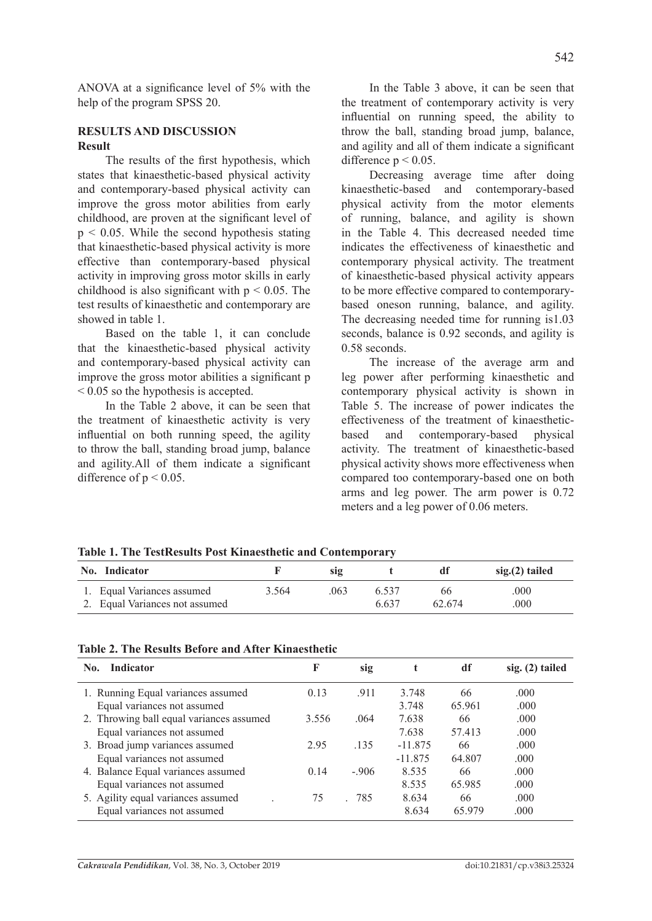ANOVA at a significance level of 5% with the help of the program SPSS 20.

# **RESULTS AND DISCUSSION Result**

The results of the first hypothesis, which states that kinaesthetic-based physical activity and contemporary-based physical activity can improve the gross motor abilities from early childhood, are proven at the significant level of  $p \le 0.05$ . While the second hypothesis stating that kinaesthetic-based physical activity is more effective than contemporary-based physical activity in improving gross motor skills in early childhood is also significant with  $p \le 0.05$ . The test results of kinaesthetic and contemporary are showed in table 1.

Based on the table 1, it can conclude that the kinaesthetic-based physical activity and contemporary-based physical activity can improve the gross motor abilities a significant p < 0.05 so the hypothesis is accepted.

In the Table 2 above, it can be seen that the treatment of kinaesthetic activity is very influential on both running speed, the agility to throw the ball, standing broad jump, balance and agility.All of them indicate a significant difference of  $p < 0.05$ .

In the Table 3 above, it can be seen that the treatment of contemporary activity is very influential on running speed, the ability to throw the ball, standing broad jump, balance, and agility and all of them indicate a significant difference  $p \le 0.05$ .

Decreasing average time after doing kinaesthetic-based and contemporary-based physical activity from the motor elements of running, balance, and agility is shown in the Table 4. This decreased needed time indicates the effectiveness of kinaesthetic and contemporary physical activity. The treatment of kinaesthetic-based physical activity appears to be more effective compared to contemporarybased oneson running, balance, and agility. The decreasing needed time for running is1.03 seconds, balance is 0.92 seconds, and agility is 0.58 seconds.

The increase of the average arm and leg power after performing kinaesthetic and contemporary physical activity is shown in Table 5. The increase of power indicates the effectiveness of the treatment of kinaestheticbased and contemporary-based physical activity. The treatment of kinaesthetic-based physical activity shows more effectiveness when compared too contemporary-based one on both arms and leg power. The arm power is 0.72 meters and a leg power of 0.06 meters.

| Table 1. The TestNesults I ust Kinaestheite and Contemporary |                                |       |      |       |        |                 |
|--------------------------------------------------------------|--------------------------------|-------|------|-------|--------|-----------------|
|                                                              | No. Indicator                  |       | SIQ  |       |        | $sig(2)$ tailed |
|                                                              | 1. Equal Variances assumed     | 3.564 | .063 | 6.537 | 66     | .000            |
|                                                              | 2. Equal Variances not assumed |       |      | 6.637 | 62.674 | .000            |

**Table 1. The TestResults Post Kinaesthetic and Contemporary**

|  |  |  |  |  | <b>Table 2. The Results Before and After Kinaesthetic</b> |
|--|--|--|--|--|-----------------------------------------------------------|
|--|--|--|--|--|-----------------------------------------------------------|

| Indicator<br>No.                         | F     | sig    |           | df     | $sig. (2)$ tailed |
|------------------------------------------|-------|--------|-----------|--------|-------------------|
| 1. Running Equal variances assumed       | 0.13  | .911   | 3.748     | 66     | .000              |
| Equal variances not assumed              |       |        | 3.748     | 65.961 | .000              |
| 2. Throwing ball equal variances assumed | 3.556 | .064   | 7.638     | 66     | .000              |
| Equal variances not assumed              |       |        | 7.638     | 57.413 | .000              |
| 3. Broad jump variances assumed          | 2.95  | .135   | $-11.875$ | 66     | .000              |
| Equal variances not assumed              |       |        | $-11.875$ | 64.807 | .000              |
| 4. Balance Equal variances assumed       | 0.14  | $-906$ | 8.535     | 66     | .000              |
| Equal variances not assumed              |       |        | 8.535     | 65.985 | .000              |
| 5. Agility equal variances assumed       | 75    | 785    | 8.634     | 66     | .000              |
| Equal variances not assumed              |       |        | 8.634     | 65 979 | .000              |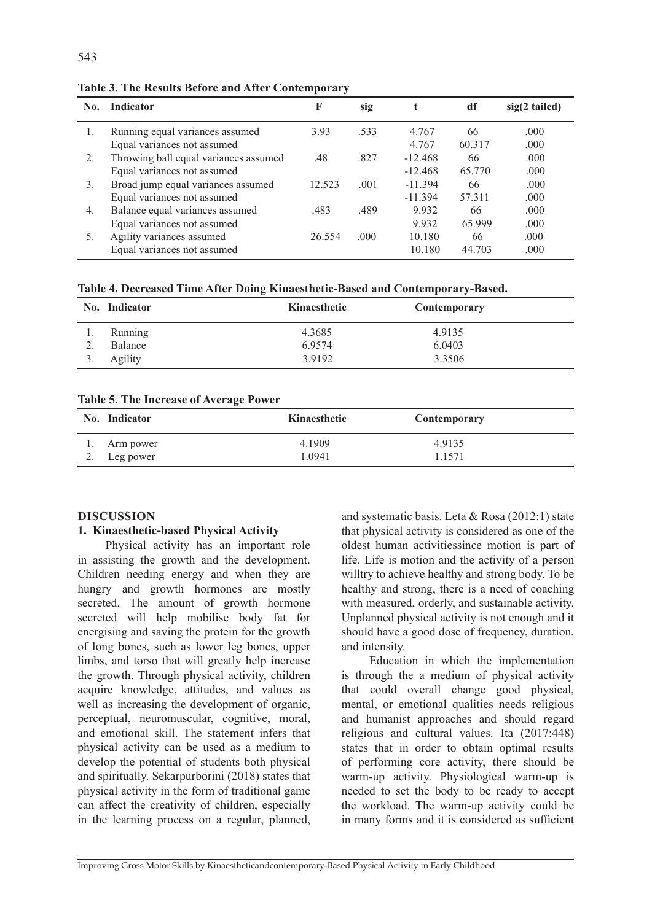| No. | Indicator                             | F      | sig  |           | df     | $sig(2$ tailed) |
|-----|---------------------------------------|--------|------|-----------|--------|-----------------|
|     | Running equal variances assumed       | 3.93   | .533 | 4.767     | 66     | .000            |
|     | Equal variances not assumed           |        |      | 4.767     | 60.317 | .000            |
| 2.  | Throwing ball equal variances assumed | .48    | .827 | $-12.468$ | 66     | .000            |
|     | Equal variances not assumed           |        |      | $-12.468$ | 65.770 | .000            |
| 3.  | Broad jump equal variances assumed    | 12.523 | .001 | $-11.394$ | 66     | .000            |
|     | Equal variances not assumed           |        |      | $-11.394$ | 57.311 | .000            |
| 4.  | Balance equal variances assumed       | .483   | .489 | 9.932     | 66     | .000            |
|     | Equal variances not assumed           |        |      | 9.932     | 65.999 | .000            |
| 5.  | Agility variances assumed             | 26.554 | .000 | 10.180    | 66     | .000            |
|     | Equal variances not assumed           |        |      | 10.180    | 44.703 | .000            |

**Table 3. The Results Before and After Contemporary**

**Table 4. Decreased Time After Doing Kinaesthetic-Based and Contemporary-Based.**

| No. Indicator | Kinaesthetic | Contemporary |
|---------------|--------------|--------------|
| Running       | 4.3685       | 4.9135       |
| Balance       | 6.9574       | 6.0403       |
| Agility       | 3.9192       | 3.3506       |

**Table 5. The Increase of Average Power**

| No. Indicator | Kinaesthetic | Contemporary |
|---------------|--------------|--------------|
| 1. Arm power  | 4.1909       | 4.9135       |
| 2. Leg power  | 1.0941       | 1.1571       |

### **DISCUSSION**

#### **1. Kinaesthetic-based Physical Activity**

Physical activity has an important role in assisting the growth and the development. Children needing energy and when they are hungry and growth hormones are mostly secreted. The amount of growth hormone secreted will help mobilise body fat for energising and saving the protein for the growth of long bones, such as lower leg bones, upper limbs, and torso that will greatly help increase the growth. Through physical activity, children acquire knowledge, attitudes, and values as well as increasing the development of organic, perceptual, neuromuscular, cognitive, moral, and emotional skill. The statement infers that physical activity can be used as a medium to develop the potential of students both physical and spiritually. Sekarpurborini (2018) states that physical activity in the form of traditional game can affect the creativity of children, especially in the learning process on a regular, planned, and systematic basis. Leta & Rosa (2012:1) state that physical activity is considered as one of the oldest human activitiessince motion is part of life. Life is motion and the activity of a person willtry to achieve healthy and strong body. To be healthy and strong, there is a need of coaching with measured, orderly, and sustainable activity. Unplanned physical activity is not enough and it should have a good dose of frequency, duration, and intensity.

Education in which the implementation is through the a medium of physical activity that could overall change good physical, mental, or emotional qualities needs religious and humanist approaches and should regard religious and cultural values. Ita (2017:448) states that in order to obtain optimal results of performing core activity, there should be warm-up activity. Physiological warm-up is needed to set the body to be ready to accept the workload. The warm-up activity could be in many forms and it is considered as sufficient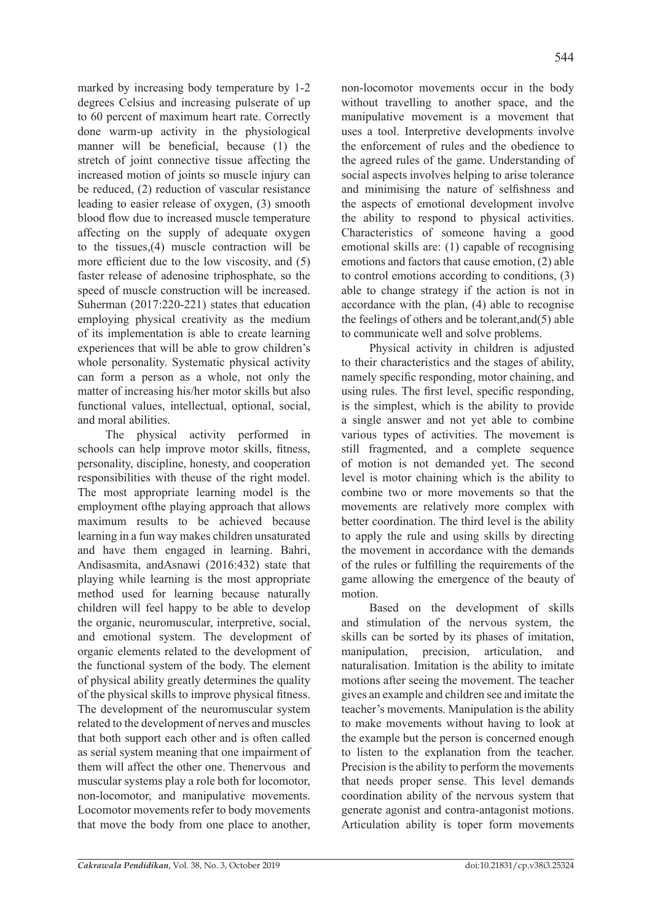marked by increasing body temperature by 1-2 degrees Celsius and increasing pulserate of up to 60 percent of maximum heart rate. Correctly done warm-up activity in the physiological manner will be beneficial, because (1) the stretch of joint connective tissue affecting the increased motion of joints so muscle injury can be reduced, (2) reduction of vascular resistance leading to easier release of oxygen, (3) smooth blood flow due to increased muscle temperature affecting on the supply of adequate oxygen to the tissues,(4) muscle contraction will be more efficient due to the low viscosity, and (5) faster release of adenosine triphosphate, so the speed of muscle construction will be increased. Suherman (2017:220-221) states that education employing physical creativity as the medium of its implementation is able to create learning experiences that will be able to grow children's whole personality. Systematic physical activity can form a person as a whole, not only the matter of increasing his/her motor skills but also functional values, intellectual, optional, social, and moral abilities.

The physical activity performed in schools can help improve motor skills, fitness, personality, discipline, honesty, and cooperation responsibilities with theuse of the right model. The most appropriate learning model is the employment ofthe playing approach that allows maximum results to be achieved because learning in a fun way makes children unsaturated and have them engaged in learning. Bahri, Andisasmita, andAsnawi (2016:432) state that playing while learning is the most appropriate method used for learning because naturally children will feel happy to be able to develop the organic, neuromuscular, interpretive, social, and emotional system. The development of organic elements related to the development of the functional system of the body. The element of physical ability greatly determines the quality of the physical skills to improve physical fitness. The development of the neuromuscular system related to the development of nerves and muscles that both support each other and is often called as serial system meaning that one impairment of them will affect the other one. Thenervous and muscular systems play a role both for locomotor, non-locomotor, and manipulative movements. Locomotor movements refer to body movements that move the body from one place to another, non-locomotor movements occur in the body without travelling to another space, and the manipulative movement is a movement that uses a tool. Interpretive developments involve the enforcement of rules and the obedience to the agreed rules of the game. Understanding of social aspects involves helping to arise tolerance and minimising the nature of selfishness and the aspects of emotional development involve the ability to respond to physical activities. Characteristics of someone having a good emotional skills are: (1) capable of recognising emotions and factors that cause emotion, (2) able to control emotions according to conditions, (3) able to change strategy if the action is not in accordance with the plan, (4) able to recognise the feelings of others and be tolerant,and(5) able to communicate well and solve problems.

Physical activity in children is adjusted to their characteristics and the stages of ability, namely specific responding, motor chaining, and using rules. The first level, specific responding, is the simplest, which is the ability to provide a single answer and not yet able to combine various types of activities. The movement is still fragmented, and a complete sequence of motion is not demanded yet. The second level is motor chaining which is the ability to combine two or more movements so that the movements are relatively more complex with better coordination. The third level is the ability to apply the rule and using skills by directing the movement in accordance with the demands of the rules or fulfilling the requirements of the game allowing the emergence of the beauty of motion.

Based on the development of skills and stimulation of the nervous system, the skills can be sorted by its phases of imitation, manipulation, precision, articulation, and naturalisation. Imitation is the ability to imitate motions after seeing the movement. The teacher gives an example and children see and imitate the teacher's movements. Manipulation is the ability to make movements without having to look at the example but the person is concerned enough to listen to the explanation from the teacher. Precision is the ability to perform the movements that needs proper sense. This level demands coordination ability of the nervous system that generate agonist and contra-antagonist motions. Articulation ability is toper form movements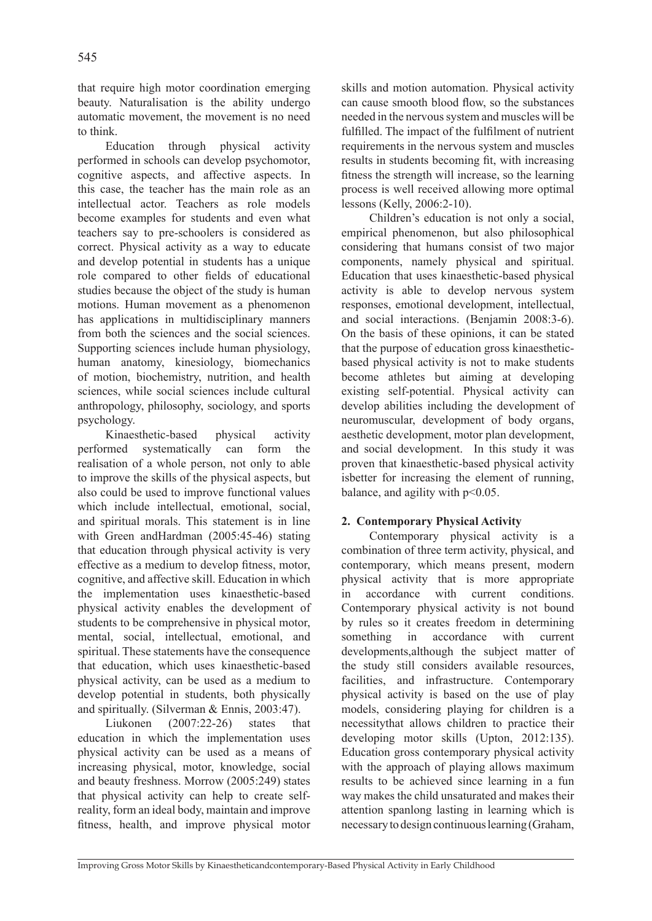that require high motor coordination emerging beauty. Naturalisation is the ability undergo automatic movement, the movement is no need to think.

Education through physical activity performed in schools can develop psychomotor, cognitive aspects, and affective aspects. In this case, the teacher has the main role as an intellectual actor. Teachers as role models become examples for students and even what teachers say to pre-schoolers is considered as correct. Physical activity as a way to educate and develop potential in students has a unique role compared to other fields of educational studies because the object of the study is human motions. Human movement as a phenomenon has applications in multidisciplinary manners from both the sciences and the social sciences. Supporting sciences include human physiology, human anatomy, kinesiology, biomechanics of motion, biochemistry, nutrition, and health sciences, while social sciences include cultural anthropology, philosophy, sociology, and sports psychology.

Kinaesthetic-based physical activity performed systematically can form the realisation of a whole person, not only to able to improve the skills of the physical aspects, but also could be used to improve functional values which include intellectual, emotional, social, and spiritual morals. This statement is in line with Green and Hardman (2005:45-46) stating that education through physical activity is very effective as a medium to develop fitness, motor, cognitive, and affective skill. Education in which the implementation uses kinaesthetic-based physical activity enables the development of students to be comprehensive in physical motor, mental, social, intellectual, emotional, and spiritual. These statements have the consequence that education, which uses kinaesthetic-based physical activity, can be used as a medium to develop potential in students, both physically and spiritually. (Silverman & Ennis, 2003:47).

Liukonen (2007:22-26) states that education in which the implementation uses physical activity can be used as a means of increasing physical, motor, knowledge, social and beauty freshness. Morrow (2005:249) states that physical activity can help to create selfreality, form an ideal body, maintain and improve fitness, health, and improve physical motor skills and motion automation. Physical activity can cause smooth blood flow, so the substances needed in the nervous system and muscles will be fulfilled. The impact of the fulfilment of nutrient requirements in the nervous system and muscles results in students becoming fit, with increasing fitness the strength will increase, so the learning process is well received allowing more optimal lessons (Kelly, 2006:2-10).

Children's education is not only a social, empirical phenomenon, but also philosophical considering that humans consist of two major components, namely physical and spiritual. Education that uses kinaesthetic-based physical activity is able to develop nervous system responses, emotional development, intellectual, and social interactions. (Benjamin 2008:3-6). On the basis of these opinions, it can be stated that the purpose of education gross kinaestheticbased physical activity is not to make students become athletes but aiming at developing existing self-potential. Physical activity can develop abilities including the development of neuromuscular, development of body organs, aesthetic development, motor plan development, and social development. In this study it was proven that kinaesthetic-based physical activity isbetter for increasing the element of running, balance, and agility with  $p<0.05$ .

## **2. Contemporary Physical Activity**

Contemporary physical activity is a combination of three term activity, physical, and contemporary, which means present, modern physical activity that is more appropriate in accordance with current conditions. Contemporary physical activity is not bound by rules so it creates freedom in determining something in accordance with current developments,although the subject matter of the study still considers available resources, facilities, and infrastructure. Contemporary physical activity is based on the use of play models, considering playing for children is a necessitythat allows children to practice their developing motor skills (Upton, 2012:135). Education gross contemporary physical activity with the approach of playing allows maximum results to be achieved since learning in a fun way makes the child unsaturated and makes their attention spanlong lasting in learning which is necessary to design continuous learning (Graham,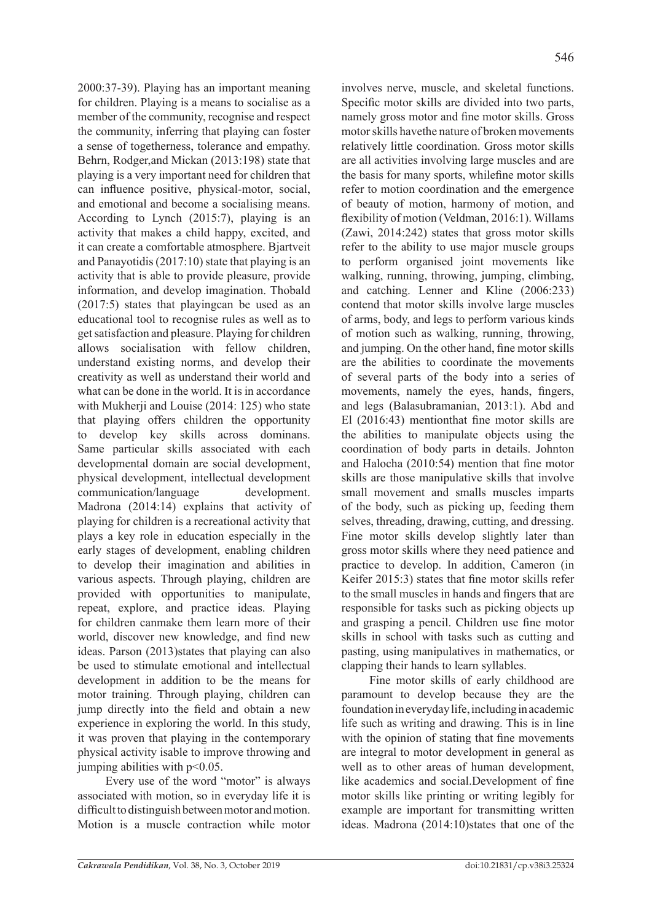2000:37-39). Playing has an important meaning for children. Playing is a means to socialise as a member of the community, recognise and respect the community, inferring that playing can foster a sense of togetherness, tolerance and empathy. Behrn, Rodger,and Mickan (2013:198) state that playing is a very important need for children that can influence positive, physical-motor, social, and emotional and become a socialising means. According to Lynch (2015:7), playing is an activity that makes a child happy, excited, and it can create a comfortable atmosphere. Bjartveit and Panayotidis (2017:10) state that playing is an activity that is able to provide pleasure, provide information, and develop imagination. Thobald (2017:5) states that playingcan be used as an educational tool to recognise rules as well as to get satisfaction and pleasure. Playing for children allows socialisation with fellow children, understand existing norms, and develop their creativity as well as understand their world and what can be done in the world. It is in accordance with Mukherii and Louise  $(2014: 125)$  who state that playing offers children the opportunity to develop key skills across dominans. Same particular skills associated with each developmental domain are social development, physical development, intellectual development communication/language development. Madrona (2014:14) explains that activity of playing for children is a recreational activity that plays a key role in education especially in the early stages of development, enabling children to develop their imagination and abilities in various aspects. Through playing, children are provided with opportunities to manipulate, repeat, explore, and practice ideas. Playing for children canmake them learn more of their world, discover new knowledge, and find new ideas. Parson (2013)states that playing can also be used to stimulate emotional and intellectual development in addition to be the means for motor training. Through playing, children can jump directly into the field and obtain a new experience in exploring the world. In this study, it was proven that playing in the contemporary physical activity isable to improve throwing and jumping abilities with  $p<0.05$ .

Every use of the word "motor" is always associated with motion, so in everyday life it is difficult to distinguish between motor and motion. Motion is a muscle contraction while motor

involves nerve, muscle, and skeletal functions. Specific motor skills are divided into two parts, namely gross motor and fine motor skills. Gross motor skills havethe nature of broken movements relatively little coordination. Gross motor skills are all activities involving large muscles and are the basis for many sports, whilefine motor skills refer to motion coordination and the emergence of beauty of motion, harmony of motion, and flexibility of motion (Veldman, 2016:1). Willams (Zawi, 2014:242) states that gross motor skills refer to the ability to use major muscle groups to perform organised joint movements like walking, running, throwing, jumping, climbing, and catching. Lenner and Kline (2006:233) contend that motor skills involve large muscles of arms, body, and legs to perform various kinds of motion such as walking, running, throwing, and jumping. On the other hand, fine motor skills are the abilities to coordinate the movements of several parts of the body into a series of movements, namely the eyes, hands, fingers, and legs (Balasubramanian, 2013:1). Abd and El (2016:43) mentionthat fine motor skills are the abilities to manipulate objects using the coordination of body parts in details. Johnton and Halocha (2010:54) mention that fine motor skills are those manipulative skills that involve small movement and smalls muscles imparts of the body, such as picking up, feeding them selves, threading, drawing, cutting, and dressing. Fine motor skills develop slightly later than gross motor skills where they need patience and practice to develop. In addition, Cameron (in Keifer 2015:3) states that fine motor skills refer to the small muscles in hands and fingers that are responsible for tasks such as picking objects up and grasping a pencil. Children use fine motor skills in school with tasks such as cutting and pasting, using manipulatives in mathematics, or clapping their hands to learn syllables.

Fine motor skills of early childhood are paramount to develop because they are the foundation in everyday life, including in academic life such as writing and drawing. This is in line with the opinion of stating that fine movements are integral to motor development in general as well as to other areas of human development, like academics and social.Development of fine motor skills like printing or writing legibly for example are important for transmitting written ideas. Madrona (2014:10)states that one of the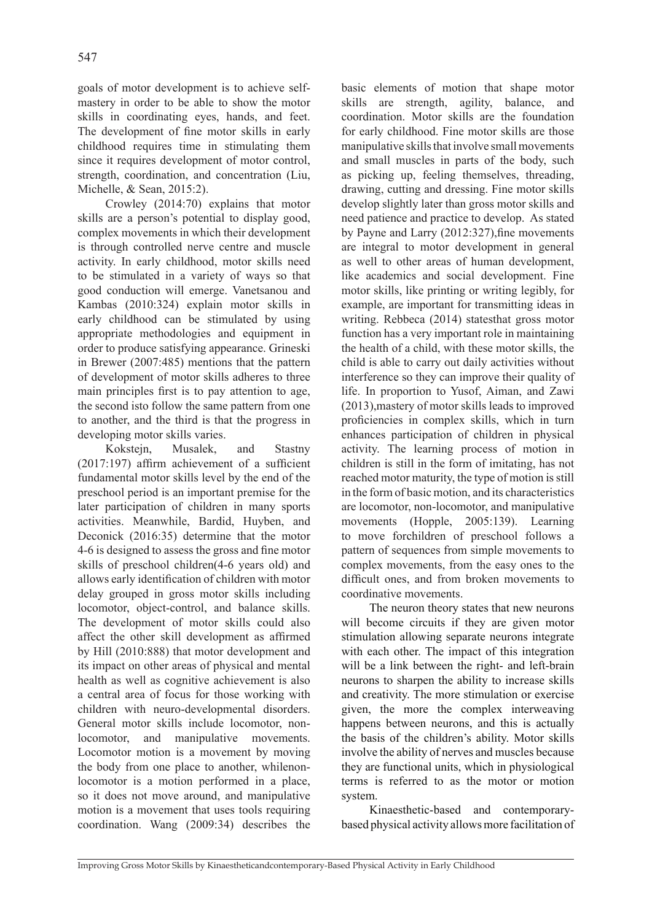goals of motor development is to achieve selfmastery in order to be able to show the motor skills in coordinating eyes, hands, and feet. The development of fine motor skills in early childhood requires time in stimulating them since it requires development of motor control, strength, coordination, and concentration (Liu, Michelle, & Sean, 2015:2).

Crowley (2014:70) explains that motor skills are a person's potential to display good, complex movements in which their development is through controlled nerve centre and muscle activity. In early childhood, motor skills need to be stimulated in a variety of ways so that good conduction will emerge. Vanetsanou and Kambas (2010:324) explain motor skills in early childhood can be stimulated by using appropriate methodologies and equipment in order to produce satisfying appearance. Grineski in Brewer (2007:485) mentions that the pattern of development of motor skills adheres to three main principles first is to pay attention to age, the second isto follow the same pattern from one to another, and the third is that the progress in developing motor skills varies.

Kokstejn, Musalek, and Stastny (2017:197) affirm achievement of a sufficient fundamental motor skills level by the end of the preschool period is an important premise for the later participation of children in many sports activities. Meanwhile, Bardid, Huyben, and Deconick (2016:35) determine that the motor 4-6 is designed to assess the gross and fine motor skills of preschool children(4-6 years old) and allows early identification of children with motor delay grouped in gross motor skills including locomotor, object-control, and balance skills. The development of motor skills could also affect the other skill development as affirmed by Hill (2010:888) that motor development and its impact on other areas of physical and mental health as well as cognitive achievement is also a central area of focus for those working with children with neuro-developmental disorders. General motor skills include locomotor, nonlocomotor, and manipulative movements. Locomotor motion is a movement by moving the body from one place to another, whilenonlocomotor is a motion performed in a place, so it does not move around, and manipulative motion is a movement that uses tools requiring coordination. Wang (2009:34) describes the basic elements of motion that shape motor skills are strength, agility, balance, and coordination. Motor skills are the foundation for early childhood. Fine motor skills are those manipulative skills that involve small movements and small muscles in parts of the body, such as picking up, feeling themselves, threading, drawing, cutting and dressing. Fine motor skills develop slightly later than gross motor skills and need patience and practice to develop. As stated by Payne and Larry (2012:327), fine movements are integral to motor development in general as well to other areas of human development, like academics and social development. Fine motor skills, like printing or writing legibly, for example, are important for transmitting ideas in writing. Rebbeca (2014) statesthat gross motor function has a very important role in maintaining the health of a child, with these motor skills, the child is able to carry out daily activities without interference so they can improve their quality of life. In proportion to Yusof, Aiman, and Zawi (2013),mastery of motor skills leads to improved proficiencies in complex skills, which in turn enhances participation of children in physical activity. The learning process of motion in children is still in the form of imitating, has not reached motor maturity, the type of motion is still in the form of basic motion, and its characteristics are locomotor, non-locomotor, and manipulative movements (Hopple, 2005:139). Learning to move forchildren of preschool follows a pattern of sequences from simple movements to complex movements, from the easy ones to the difficult ones, and from broken movements to coordinative movements.

The neuron theory states that new neurons will become circuits if they are given motor stimulation allowing separate neurons integrate with each other. The impact of this integration will be a link between the right- and left-brain neurons to sharpen the ability to increase skills and creativity. The more stimulation or exercise given, the more the complex interweaving happens between neurons, and this is actually the basis of the children's ability. Motor skills involve the ability of nerves and muscles because they are functional units, which in physiological terms is referred to as the motor or motion system.

Kinaesthetic-based and contemporarybased physical activity allows more facilitation of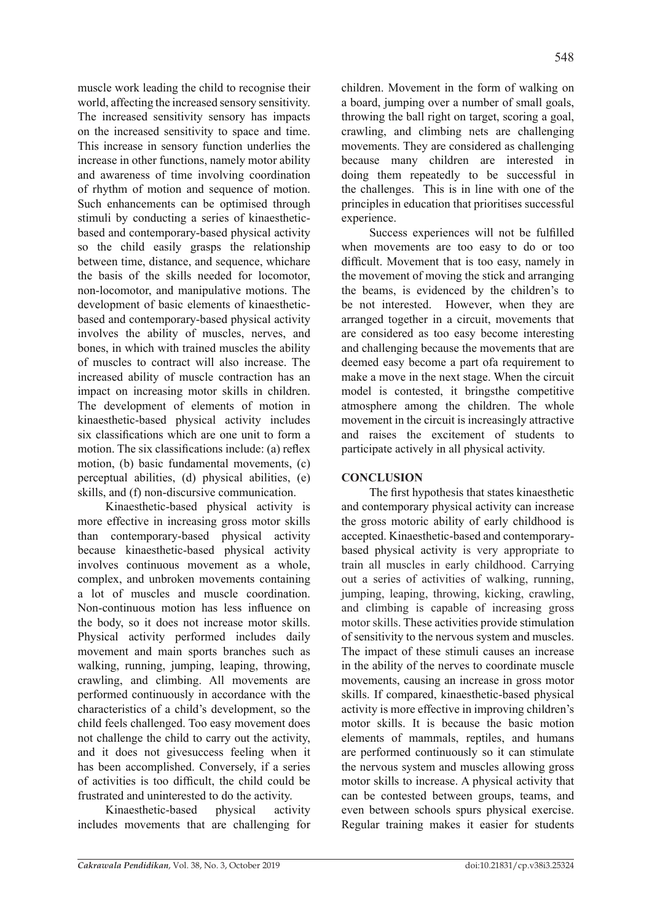muscle work leading the child to recognise their world, affecting the increased sensory sensitivity. The increased sensitivity sensory has impacts on the increased sensitivity to space and time. This increase in sensory function underlies the increase in other functions, namely motor ability and awareness of time involving coordination of rhythm of motion and sequence of motion. Such enhancements can be optimised through stimuli by conducting a series of kinaestheticbased and contemporary-based physical activity so the child easily grasps the relationship between time, distance, and sequence, whichare the basis of the skills needed for locomotor, non-locomotor, and manipulative motions. The development of basic elements of kinaestheticbased and contemporary-based physical activity involves the ability of muscles, nerves, and bones, in which with trained muscles the ability of muscles to contract will also increase. The increased ability of muscle contraction has an impact on increasing motor skills in children. The development of elements of motion in kinaesthetic-based physical activity includes six classifications which are one unit to form a motion. The six classifications include: (a) reflex motion, (b) basic fundamental movements, (c) perceptual abilities, (d) physical abilities, (e) skills, and (f) non-discursive communication.

Kinaesthetic-based physical activity is more effective in increasing gross motor skills than contemporary-based physical activity because kinaesthetic-based physical activity involves continuous movement as a whole, complex, and unbroken movements containing a lot of muscles and muscle coordination. Non-continuous motion has less influence on the body, so it does not increase motor skills. Physical activity performed includes daily movement and main sports branches such as walking, running, jumping, leaping, throwing, crawling, and climbing. All movements are performed continuously in accordance with the characteristics of a child's development, so the child feels challenged. Too easy movement does not challenge the child to carry out the activity, and it does not givesuccess feeling when it has been accomplished. Conversely, if a series of activities is too difficult, the child could be frustrated and uninterested to do the activity.

Kinaesthetic-based physical activity includes movements that are challenging for children. Movement in the form of walking on a board, jumping over a number of small goals, throwing the ball right on target, scoring a goal, crawling, and climbing nets are challenging movements. They are considered as challenging because many children are interested in doing them repeatedly to be successful in the challenges. This is in line with one of the principles in education that prioritises successful experience.

Success experiences will not be fulfilled when movements are too easy to do or too difficult. Movement that is too easy, namely in the movement of moving the stick and arranging the beams, is evidenced by the children's to be not interested. However, when they are arranged together in a circuit, movements that are considered as too easy become interesting and challenging because the movements that are deemed easy become a part ofa requirement to make a move in the next stage. When the circuit model is contested, it bringsthe competitive atmosphere among the children. The whole movement in the circuit is increasingly attractive and raises the excitement of students to participate actively in all physical activity.

# **CONCLUSION**

The first hypothesis that states kinaesthetic and contemporary physical activity can increase the gross motoric ability of early childhood is accepted. Kinaesthetic-based and contemporarybased physical activity is very appropriate to train all muscles in early childhood. Carrying out a series of activities of walking, running, jumping, leaping, throwing, kicking, crawling, and climbing is capable of increasing gross motor skills. These activities provide stimulation of sensitivity to the nervous system and muscles. The impact of these stimuli causes an increase in the ability of the nerves to coordinate muscle movements, causing an increase in gross motor skills. If compared, kinaesthetic-based physical activity is more effective in improving children's motor skills. It is because the basic motion elements of mammals, reptiles, and humans are performed continuously so it can stimulate the nervous system and muscles allowing gross motor skills to increase. A physical activity that can be contested between groups, teams, and even between schools spurs physical exercise. Regular training makes it easier for students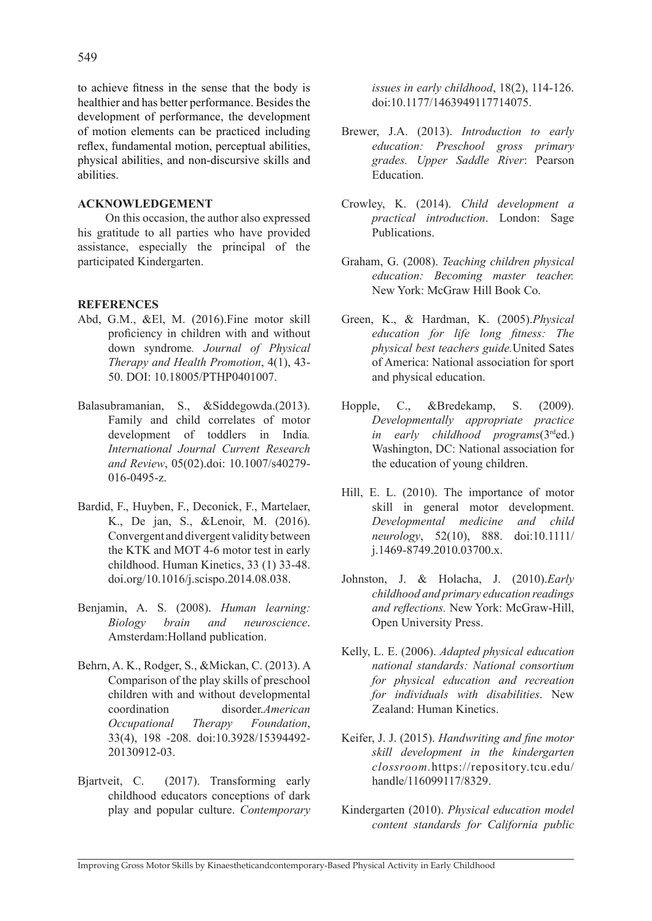to achieve fitness in the sense that the body is healthier and has better performance. Besides the development of performance, the development of motion elements can be practiced including reflex, fundamental motion, perceptual abilities, physical abilities, and non-discursive skills and abilities.

### **ACKNOWLEDGEMENT**

On this occasion, the author also expressed his gratitude to all parties who have provided assistance, especially the principal of the participated Kindergarten.

### **REFERENCES**

- Abd, G.M., &El, M. (2016).Fine motor skill proficiency in children with and without down syndrome*. Journal of Physical Therapy and Health Promotion*, 4(1), 43- 50. DOI: 10.18005/PTHP0401007.
- Balasubramanian, S., &Siddegowda.(2013). Family and child correlates of motor development of toddlers in India*. International Journal Current Research and Review*, 05(02).doi: 10.1007/s40279- 016-0495-z.
- Bardid, F., Huyben, F., Deconick, F., Martelaer, K., De jan, S., &Lenoir, M. (2016). Convergent and divergent validity between the KTK and MOT 4-6 motor test in early childhood. Human Kinetics, 33 (1) 33-48. doi.org/10.1016/j.scispo.2014.08.038.
- Benjamin, A. S. (2008). *Human learning: Biology brain and neuroscience*. Amsterdam:Holland publication.
- Behrn, A. K., Rodger, S., &Mickan, C. (2013). A Comparison of the play skills of preschool children with and without developmental coordination disorder.*American Occupational Therapy Foundation*, 33(4), 198 -208. doi:10.3928/15394492- 20130912-03.
- Bjartveit, C. (2017). Transforming early childhood educators conceptions of dark play and popular culture. *Contemporary*

*issues in early childhood*, 18(2), 114-126. doi:10.1177/1463949117714075.

- Brewer, J.A. (2013). *Introduction to early education: Preschool gross primary grades. Upper Saddle River*: Pearson Education.
- Crowley, K. (2014). *Child development a practical introduction*. London: Sage Publications.
- Graham, G. (2008). *Teaching children physical education: Becoming master teacher.*  New York: McGraw Hill Book Co.
- Green, K., & Hardman, K. (2005).*Physical education for life long fitness: The physical best teachers guide.*United Sates of America: National association for sport and physical education.
- Hopple, C., &Bredekamp, S. (2009). *Developmentally appropriate practice in early childhood programs*(3rded.) Washington, DC: National association for the education of young children.
- Hill, E. L. (2010). The importance of motor skill in general motor development. *Developmental medicine and child neurology*, 52(10), 888. doi:10.1111/ j.1469-8749.2010.03700.x.
- Johnston, J. & Holacha, J. (2010).*Early childhood and primary education readings and reflections.* New York: McGraw-Hill, Open University Press.
- Kelly, L. E. (2006). *Adapted physical education national standards: National consortium for physical education and recreation for individuals with disabilities*. New Zealand: Human Kinetics.
- Keifer, J. J. (2015). *Handwriting and fine motor skill development in the kindergarten clossroom.*https://repository.tcu.edu/ handle/116099117/8329.
- Kindergarten (2010). *Physical education model content standards for California public*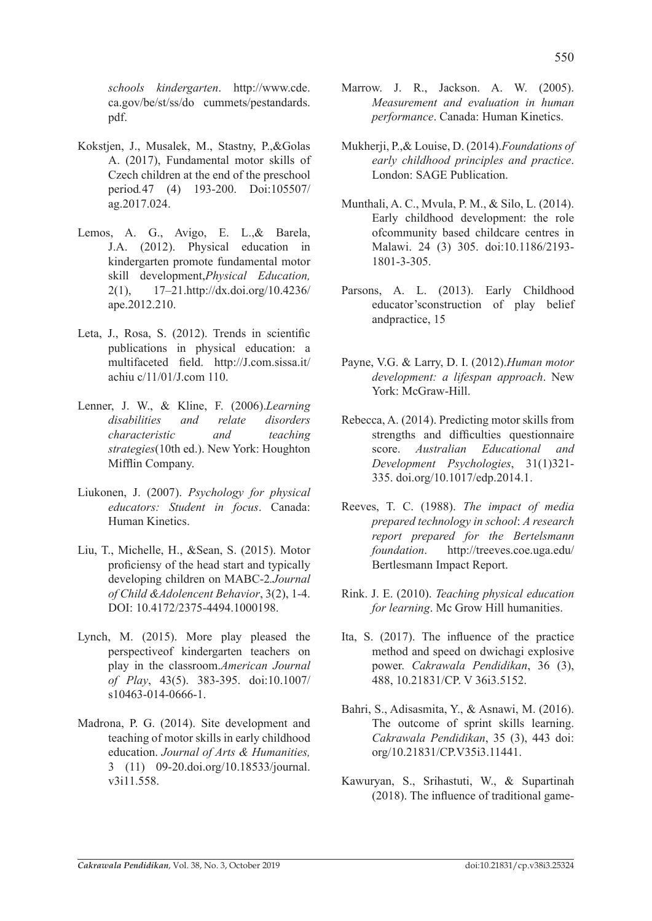*schools kindergarten*. http://www.cde. ca.gov/be/st/ss/do cummets/pestandards. pdf.

- Kokstjen, J., Musalek, M., Stastny, P.,&Golas A. (2017), Fundamental motor skills of Czech children at the end of the preschool period*.*47 (4) 193-200. Doi:105507/ ag.2017.024.
- Lemos, A. G., Avigo, E. L.,& Barela, J.A. (2012). Physical education in kindergarten promote fundamental motor skill development,*Physical Education,* 2(1), 17–21.http://dx.doi.org/10.4236/ ape.2012.210.
- Leta, J., Rosa, S. (2012). Trends in scientific publications in physical education: a multifaceted field. http://J.com.sissa.it/ achiu c/11/01/J.com 110.
- Lenner, J. W., & Kline, F. (2006).*Learning disabilities and relate disorders characteristic and teaching strategies*(10th ed.). New York: Houghton Mifflin Company.
- Liukonen, J. (2007). *Psychology for physical educators: Student in focus*. Canada: Human Kinetics.
- Liu, T., Michelle, H., &Sean, S. (2015). Motor proficiensy of the head start and typically developing children on MABC-2*.Journal of Child &Adolencent Behavior*, 3(2), 1-4. DOI: 10.4172/2375-4494.1000198.
- Lynch, M. (2015). More play pleased the perspectiveof kindergarten teachers on play in the classroom.*American Journal of Play*, 43(5). 383-395. doi:10.1007/ s10463-014-0666-1.
- Madrona, P. G. (2014). Site development and teaching of motor skills in early childhood education. *Journal of Arts & Humanities,* 3 (11) 09-20.doi.org/10.18533/journal. v3i11.558.
- Marrow. J. R., Jackson. A. W. (2005). *Measurement and evaluation in human performance*. Canada: Human Kinetics.
- Mukherji, P.,& Louise, D. (2014).*Foundations of early childhood principles and practice*. London: SAGE Publication.
- Munthali, A. C., Mvula, P. M., & Silo, L. (2014). Early childhood development: the role ofcommunity based childcare centres in Malawi. 24 (3) 305. doi:10.1186/2193- 1801-3-305.
- Parsons, A. L. (2013). Early Childhood educator'sconstruction of play belief andpractice, 15
- Payne, V.G. & Larry, D. I. (2012).*Human motor development: a lifespan approach*. New York: McGraw-Hill.
- Rebecca, A. (2014). Predicting motor skills from strengths and difficulties questionnaire score. *Australian Educational and Development Psychologies*, 31(1)321- 335. doi.org/10.1017/edp.2014.1.
- Reeves, T. C. (1988). *The impact of media prepared technology in school*: *A research report prepared for the Bertelsmann foundation*. http://treeves.coe.uga.edu/ Bertlesmann Impact Report.
- Rink. J. E. (2010). *Teaching physical education for learning*. Mc Grow Hill humanities.
- Ita, S. (2017). The influence of the practice method and speed on dwichagi explosive power. *Cakrawala Pendidikan*, 36 (3), 488, 10.21831/CP. V 36i3.5152.
- Bahri, S., Adisasmita, Y., & Asnawi, M. (2016). The outcome of sprint skills learning. *Cakrawala Pendidikan*, 35 (3), 443 doi: org/10.21831/CP.V35i3.11441.
- Kawuryan, S., Srihastuti, W., & Supartinah (2018). The influence of traditional game-